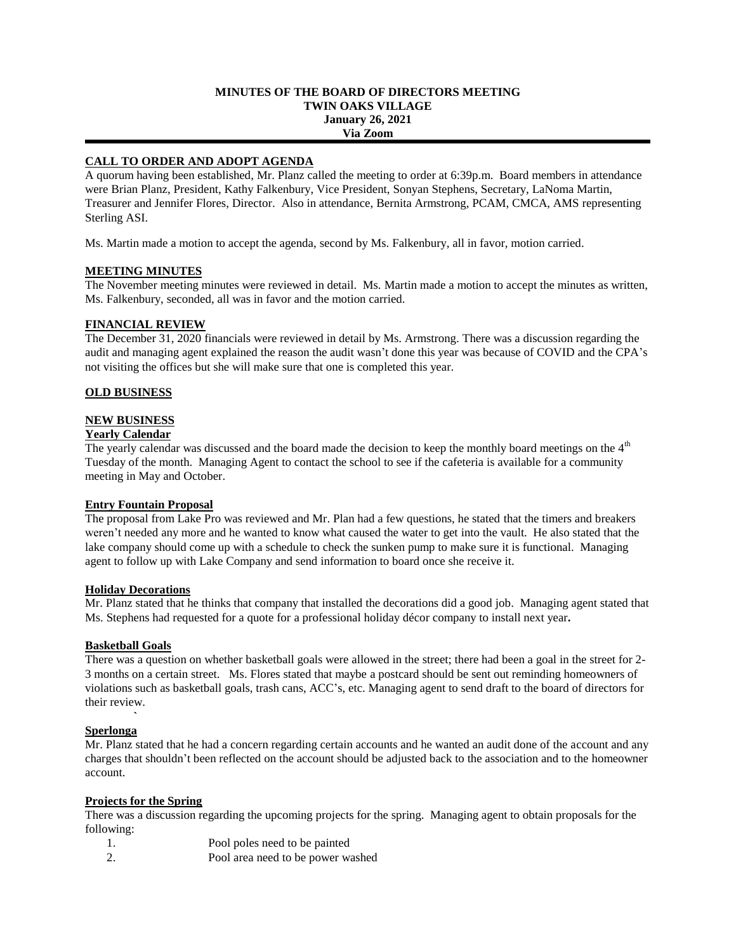### **MINUTES OF THE BOARD OF DIRECTORS MEETING TWIN OAKS VILLAGE January 26, 2021 Via Zoom**

# **CALL TO ORDER AND ADOPT AGENDA**

A quorum having been established, Mr. Planz called the meeting to order at 6:39p.m. Board members in attendance were Brian Planz, President, Kathy Falkenbury, Vice President, Sonyan Stephens, Secretary, LaNoma Martin, Treasurer and Jennifer Flores, Director. Also in attendance, Bernita Armstrong, PCAM, CMCA, AMS representing Sterling ASI.

Ms. Martin made a motion to accept the agenda, second by Ms. Falkenbury, all in favor, motion carried.

# **MEETING MINUTES**

The November meeting minutes were reviewed in detail. Ms. Martin made a motion to accept the minutes as written, Ms. Falkenbury, seconded, all was in favor and the motion carried.

# **FINANCIAL REVIEW**

The December 31, 2020 financials were reviewed in detail by Ms. Armstrong. There was a discussion regarding the audit and managing agent explained the reason the audit wasn't done this year was because of COVID and the CPA's not visiting the offices but she will make sure that one is completed this year.

# **OLD BUSINESS**

# **NEW BUSINESS**

### **Yearly Calendar**

The yearly calendar was discussed and the board made the decision to keep the monthly board meetings on the 4<sup>th</sup> Tuesday of the month. Managing Agent to contact the school to see if the cafeteria is available for a community meeting in May and October.

# **Entry Fountain Proposal**

The proposal from Lake Pro was reviewed and Mr. Plan had a few questions, he stated that the timers and breakers weren't needed any more and he wanted to know what caused the water to get into the vault. He also stated that the lake company should come up with a schedule to check the sunken pump to make sure it is functional. Managing agent to follow up with Lake Company and send information to board once she receive it.

#### **Holiday Decorations**

Mr. Planz stated that he thinks that company that installed the decorations did a good job. Managing agent stated that Ms. Stephens had requested for a quote for a professional holiday décor company to install next year**.**

#### **Basketball Goals**

There was a question on whether basketball goals were allowed in the street; there had been a goal in the street for 2- 3 months on a certain street. Ms. Flores stated that maybe a postcard should be sent out reminding homeowners of violations such as basketball goals, trash cans, ACC's, etc. Managing agent to send draft to the board of directors for their review.

### *<b>*  $\sim$   $\sim$   $\sim$   $\sim$   $\sim$ **Sperlonga**

Mr. Planz stated that he had a concern regarding certain accounts and he wanted an audit done of the account and any charges that shouldn't been reflected on the account should be adjusted back to the association and to the homeowner account.

#### **Projects for the Spring**

There was a discussion regarding the upcoming projects for the spring. Managing agent to obtain proposals for the following:

- 1. Pool poles need to be painted
- 2. Pool area need to be power washed